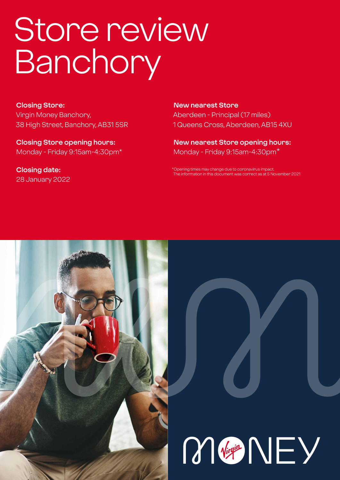# Store review **Banchory**

**Closing Store:** Virgin Money Banchory, 38 High Street, Banchory, AB31 5SR

**Closing Store opening hours:**  Monday - Friday 9:15am-4:30pm\*

**Closing date:**  28 January 2022

**New nearest Store** Aberdeen - Principal (17 miles) 1 Queens Cross, Aberdeen, AB15 4XU

**New nearest Store opening hours:** Monday - Friday 9:15am-4:30pm\*

ening times may change due to coronavirus impact The information in this document was correct as at 5 November 2021



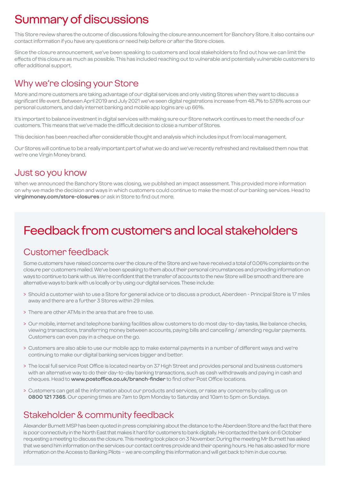# Summary of discussions

This Store review shares the outcome of discussions following the closure announcement for Banchory Store. It also contains our contact information if you have any questions or need help before or after the Store closes.

Since the closure announcement, we've been speaking to customers and local stakeholders to find out how we can limit the effects of this closure as much as possible. This has included reaching out to vulnerable and potentially vulnerable customers to offer additional support.

### Why we're closing your Store

More and more customers are taking advantage of our digital services and only visiting Stores when they want to discuss a significant life event. Between April 2019 and July 2021 we've seen digital registrations increase from 48.7% to 57.6% across our personal customers, and daily internet banking and mobile app logins are up 66%.

It's important to balance investment in digital services with making sure our Store network continues to meet the needs of our customers. This means that we've made the difficult decision to close a number of Stores.

This decision has been reached after considerable thought and analysis which includes input from local management.

Our Stores will continue to be a really important part of what we do and we've recently refreshed and revitalised them now that we're one Virgin Money brand.

### Just so you know

When we announced the Banchory Store was closing, we published an impact assessment. This provided more information on why we made the decision and ways in which customers could continue to make the most of our banking services. Head to **virginmoney.com/store-closures** or ask in Store to find out more.

# Feedback from customers and local stakeholders

### Customer feedback

Some customers have raised concerns over the closure of the Store and we have received a total of 0.06% complaints on the closure per customers mailed. We've been speaking to them about their personal circumstances and providing information on ways to continue to bank with us. We're confident that the transfer of accounts to the new Store will be smooth and there are alternative ways to bank with us locally or by using our digital services. These include:

- > Should a customer wish to use a Store for general advice or to discuss a product, Aberdeen Principal Store is 17 miles away and there are a further 3 Stores within 29 miles.
- > There are other ATMs in the area that are free to use.
- > Our mobile, internet and telephone banking facilities allow customers to do most day-to-day tasks, like balance checks, viewing transactions, transferring money between accounts, paying bills and cancelling / amending regular payments. Customers can even pay in a cheque on the go.
- > Customers are also able to use our mobile app to make external payments in a number of different ways and we're continuing to make our digital banking services bigger and better.
- > The local full service Post Office is located nearby on 37 High Street and provides personal and business customers with an alternative way to do their day-to-day banking transactions, such as cash withdrawals and paying in cash and cheques. Head to **www.postoffice.co.uk/branch-finder** to find other Post Office locations.
- > Customers can get all the information about our products and services, or raise any concerns by calling us on **0800 121 7365**. Our opening times are 7am to 9pm Monday to Saturday and 10am to 5pm on Sundays.

### Stakeholder & community feedback

Alexander Burnett MSP has been quoted in press complaining about the distance to the Aberdeen Store and the fact that there is poor connectivity in the North East that makes it hard for customers to bank digitally. He contacted the bank on 6 October requesting a meeting to discuss the closure. This meeting took place on 3 November. During the meeting Mr Burnett has asked that we send him information on the services our contact centres provide and their opening hours. He has also asked for more information on the Access to Banking Pilots – we are compiling this information and will get back to him in due course.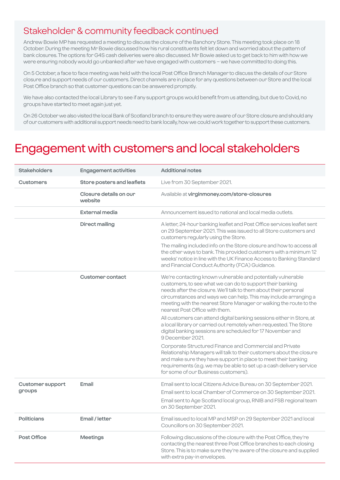### Stakeholder & community feedback continued

Andrew Bowie MP has requested a meeting to discuss the closure of the Banchory Store. This meeting took place on 18 October. During the meeting Mr Bowie discussed how his rural constituents felt let down and worried about the pattern of bank closures. The options for G4S cash deliveries were also discussed. Mr Bowie asked us to get back to him with how we were ensuring nobody would go unbanked after we have engaged with customers – we have committed to doing this.

On 5 October, a face to face meeting was held with the local Post Office Branch Manager to discuss the details of our Store closure and support needs of our customers. Direct channels are in place for any questions between our Store and the local Post Office branch so that customer questions can be answered promptly.

We have also contacted the local Library to see if any support groups would benefit from us attending, but due to Covid, no groups have started to meet again just yet.

On 26 October we also visited the local Bank of Scotland branch to ensure they were aware of our Store closure and should any of our customers with additional support needs need to bank locally, how we could work together to support these customers.

### Engagement with customers and local stakeholders

| <b>Stakeholders</b>               | <b>Engagement activities</b>      | <b>Additional notes</b>                                                                                                                                                                                                                                                                                                                                                   |
|-----------------------------------|-----------------------------------|---------------------------------------------------------------------------------------------------------------------------------------------------------------------------------------------------------------------------------------------------------------------------------------------------------------------------------------------------------------------------|
| <b>Customers</b>                  | Store posters and leaflets        | Live from 30 September 2021.                                                                                                                                                                                                                                                                                                                                              |
|                                   | Closure details on our<br>website | Available at virginmoney.com/store-closures                                                                                                                                                                                                                                                                                                                               |
|                                   | <b>External media</b>             | Announcement issued to national and local media outlets.                                                                                                                                                                                                                                                                                                                  |
|                                   | <b>Direct mailing</b>             | A letter, 24-hour banking leaflet and Post Office services leaflet sent<br>on 29 September 2021. This was issued to all Store customers and<br>customers regularly using the Store.                                                                                                                                                                                       |
|                                   |                                   | The mailing included info on the Store closure and how to access all<br>the other ways to bank. This provided customers with a minimum 12<br>weeks' notice in line with the UK Finance Access to Banking Standard<br>and Financial Conduct Authority (FCA) Guidance.                                                                                                      |
|                                   | <b>Customer contact</b>           | We're contacting known vulnerable and potentially vulnerable<br>customers, to see what we can do to support their banking<br>needs after the closure. We'll talk to them about their personal<br>circumstances and ways we can help. This may include arranging a<br>meeting with the nearest Store Manager or walking the route to the<br>nearest Post Office with them. |
|                                   |                                   | All customers can attend digital banking sessions either in Store, at<br>a local library or carried out remotely when requested. The Store<br>digital banking sessions are scheduled for 17 November and<br>9 December 2021.                                                                                                                                              |
|                                   |                                   | Corporate Structured Finance and Commercial and Private<br>Relationship Managers will talk to their customers about the closure<br>and make sure they have support in place to meet their banking<br>requirements (e.g. we may be able to set up a cash delivery service<br>for some of our Business customers).                                                          |
| <b>Customer support</b><br>groups | Email                             | Email sent to local Citizens Advice Bureau on 30 September 2021.<br>Email sent to local Chamber of Commerce on 30 September 2021.<br>Email sent to Age Scotland local group, RNIB and FSB regional team<br>on 30 September 2021.                                                                                                                                          |
| <b>Politicians</b>                | Email / letter                    | Email issued to local MP and MSP on 29 September 2021 and local<br>Councillors on 30 September 2021.                                                                                                                                                                                                                                                                      |
| Post Office                       | <b>Meetings</b>                   | Following discussions of the closure with the Post Office, they're<br>contacting the nearest three Post Office branches to each closing<br>Store. This is to make sure they're aware of the closure and supplied<br>with extra pay-in envelopes.                                                                                                                          |